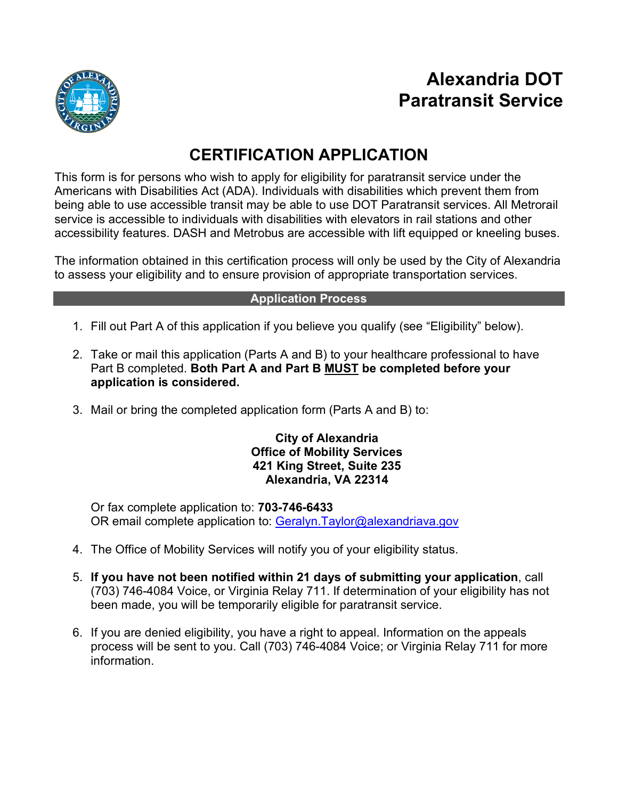

# **Alexandria DOT Paratransit Service**

# **CERTIFICATION APPLICATION**

This form is for persons who wish to apply for eligibility for paratransit service under the Americans with Disabilities Act (ADA). Individuals with disabilities which prevent them from being able to use accessible transit may be able to use DOT Paratransit services. All Metrorail service is accessible to individuals with disabilities with elevators in rail stations and other accessibility features. DASH and Metrobus are accessible with lift equipped or kneeling buses.

The information obtained in this certification process will only be used by the City of Alexandria to assess your eligibility and to ensure provision of appropriate transportation services.

#### **Application Process**

- 1. Fill out Part A of this application if you believe you qualify (see "Eligibility" below).
- 2. Take or mail this application (Parts A and B) to your healthcare professional to have Part B completed. **Both Part A and Part B MUST be completed before your application is considered.**
- 3. Mail or bring the completed application form (Parts A and B) to:

#### **City of Alexandria Office of Mobility Services 421 King Street, Suite 235 Alexandria, VA 22314**

Or fax complete application to: **703-746-6433** OR email complete application to: [Geralyn.Taylor@alexandriava.gov](mailto:Geralyn.Taylor@alexandriava.gov)

- 4. The Office of Mobility Services will notify you of your eligibility status.
- 5. **If you have not been notified within 21 days of submitting your application**, call (703) 746-4084 Voice, or Virginia Relay 711. If determination of your eligibility has not been made, you will be temporarily eligible for paratransit service.
- 6. If you are denied eligibility, you have a right to appeal. Information on the appeals process will be sent to you. Call (703) 746-4084 Voice; or Virginia Relay 711 for more information.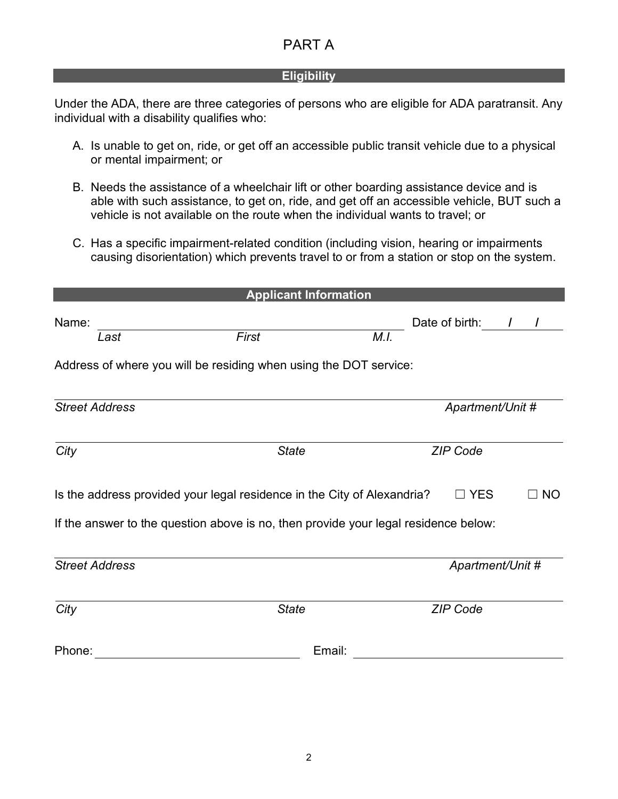#### **Eligibility**

Under the ADA, there are three categories of persons who are eligible for ADA paratransit. Any individual with a disability qualifies who:

- A. Is unable to get on, ride, or get off an accessible public transit vehicle due to a physical or mental impairment; or
- B. Needs the assistance of a wheelchair lift or other boarding assistance device and is able with such assistance, to get on, ride, and get off an accessible vehicle, BUT such a vehicle is not available on the route when the individual wants to travel; or
- C. Has a specific impairment-related condition (including vision, hearing or impairments causing disorientation) which prevents travel to or from a station or stop on the system.

|                                                                                     | <b>Applicant Information</b>                                            |      |                  |                |  |
|-------------------------------------------------------------------------------------|-------------------------------------------------------------------------|------|------------------|----------------|--|
| Name:<br>Last                                                                       | First                                                                   | M.I. | Date of birth:   | $\mathcal{L}$  |  |
|                                                                                     | Address of where you will be residing when using the DOT service:       |      |                  |                |  |
|                                                                                     |                                                                         |      |                  |                |  |
| <b>Street Address</b>                                                               |                                                                         |      | Apartment/Unit # |                |  |
| City                                                                                | <b>State</b>                                                            |      | <b>ZIP Code</b>  |                |  |
|                                                                                     | Is the address provided your legal residence in the City of Alexandria? |      | $\Box$ YES       | $\sqsupset$ NO |  |
| If the answer to the question above is no, then provide your legal residence below: |                                                                         |      |                  |                |  |
| <b>Street Address</b>                                                               |                                                                         |      | Apartment/Unit # |                |  |
| City                                                                                | <b>State</b>                                                            |      | <b>ZIP Code</b>  |                |  |
| Phone:                                                                              | Email:                                                                  |      |                  |                |  |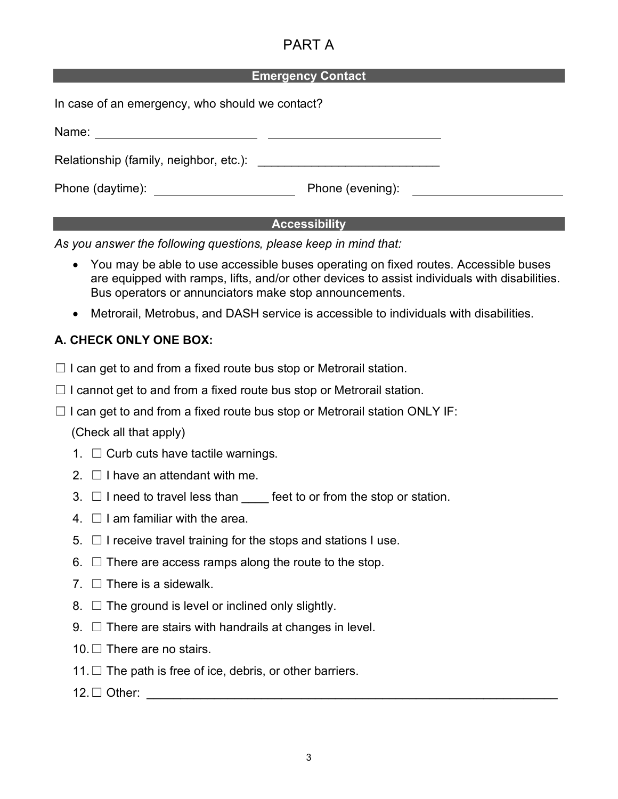#### **Emergency Contact**

| In case of an emergency, who should we contact? |                  |  |
|-------------------------------------------------|------------------|--|
| Name:                                           |                  |  |
|                                                 |                  |  |
| Phone (daytime): <u>_____________</u>           | Phone (evening): |  |

#### **Accessibility**

*As you answer the following questions, please keep in mind that:* 

- You may be able to use accessible buses operating on fixed routes. Accessible buses are equipped with ramps, lifts, and/or other devices to assist individuals with disabilities. Bus operators or annunciators make stop announcements.
- Metrorail, Metrobus, and DASH service is accessible to individuals with disabilities.

#### **A. CHECK ONLY ONE BOX:**

- $\Box$  I can get to and from a fixed route bus stop or Metrorail station.
- $\Box$  I cannot get to and from a fixed route bus stop or Metrorail station.
- $\Box$  I can get to and from a fixed route bus stop or Metrorail station ONLY IF:

(Check all that apply)

- 1.  $\Box$  Curb cuts have tactile warnings.
- 2.  $\Box$  I have an attendant with me.
- 3.  $\Box$  I need to travel less than feet to or from the stop or station.
- 4.  $\Box$  I am familiar with the area.
- $5. \Box$  I receive travel training for the stops and stations I use.
- $6. \Box$  There are access ramps along the route to the stop.
- 7.  $\Box$  There is a sidewalk.
- 8.  $\Box$  The ground is level or inclined only slightly.
- $9. \Box$  There are stairs with handrails at changes in level.
- 10. □ There are no stairs.
- 11.  $\Box$  The path is free of ice, debris, or other barriers.
- $12. \Box$  Other: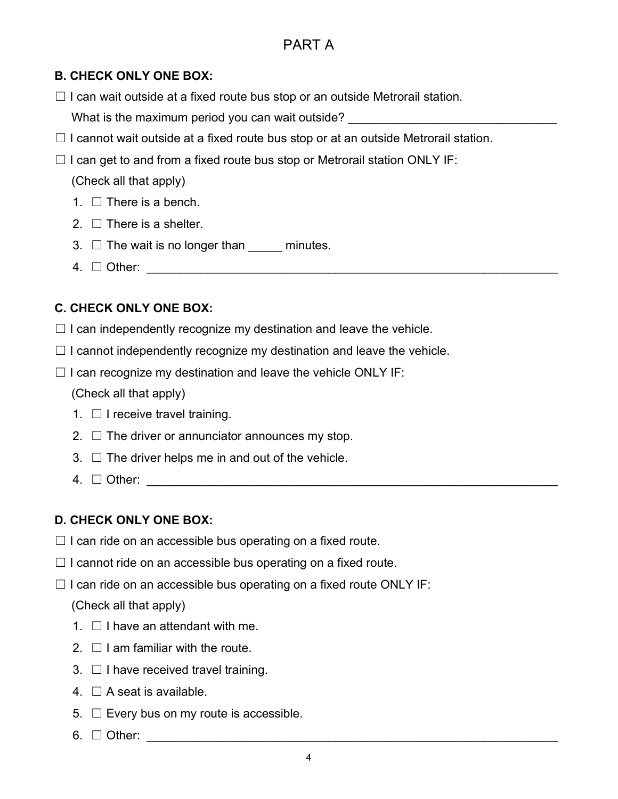#### **B. CHECK ONLY ONE BOX:**

 $\Box$  I can wait outside at a fixed route bus stop or an outside Metrorail station.

What is the maximum period you can wait outside?

- $\Box$  I cannot wait outside at a fixed route bus stop or at an outside Metrorail station.
- $\Box$  I can get to and from a fixed route bus stop or Metrorail station ONLY IF:

(Check all that apply)

- 1.  $\Box$  There is a bench.
- 2.  $\Box$  There is a shelter.
- 3.  $\Box$  The wait is no longer than minutes.
- 4. ☐ Other: \_\_\_\_\_\_\_\_\_\_\_\_\_\_\_\_\_\_\_\_\_\_\_\_\_\_\_\_\_\_\_\_\_\_\_\_\_\_\_\_\_\_\_\_\_\_\_\_\_\_\_\_\_\_\_\_\_\_\_\_\_

### **C. CHECK ONLY ONE BOX:**

- $\Box$  I can independently recognize my destination and leave the vehicle.
- $\Box$  I cannot independently recognize my destination and leave the vehicle.
- $\Box$  I can recognize my destination and leave the vehicle ONLY IF:

(Check all that apply)

- 1.  $\Box$  I receive travel training.
- 2.  $\Box$  The driver or annunciator announces my stop.
- $3. \Box$  The driver helps me in and out of the vehicle.
- $4. \square$  Other:

### **D. CHECK ONLY ONE BOX:**

- $\Box$  I can ride on an accessible bus operating on a fixed route.
- $\Box$  I cannot ride on an accessible bus operating on a fixed route.
- $\Box$  I can ride on an accessible bus operating on a fixed route ONLY IF:

### (Check all that apply)

- $1 \n\Box$  I have an attendant with me.
- 2.  $\Box$  I am familiar with the route.
- $3. \Box$  I have received travel training.
- 4.  $\Box$  A seat is available.
- $5. \Box$  Every bus on my route is accessible.
- $6. \Box$  Other: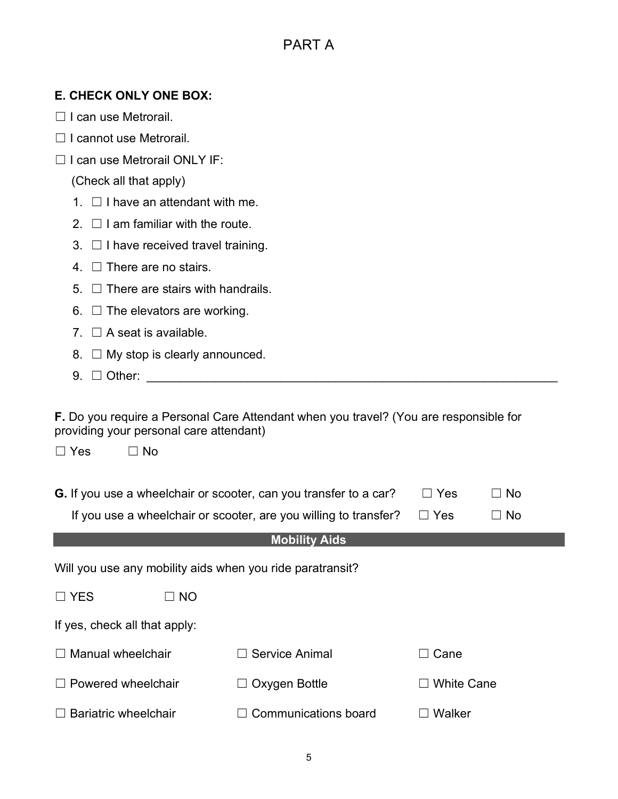#### **E. CHECK ONLY ONE BOX:**

- ☐ I can use Metrorail.
- ☐ I cannot use Metrorail.
- ☐ I can use Metrorail ONLY IF:

(Check all that apply)

- 1.  $\Box$  I have an attendant with me.
- $2 \square$  I am familiar with the route.
- 3.  $\Box$  I have received travel training.
- 4. □ There are no stairs.
- $5. \Box$  There are stairs with handrails.
- 6.  $\Box$  The elevators are working.
- 7.  $\Box$  A seat is available.
- 8.  $\Box$  My stop is clearly announced.
- $9. \Box$  Other:

☐ Yes ☐ No

**F.** Do you require a Personal Care Attendant when you travel? (You are responsible for providing your personal care attendant)

| <b>G.</b> If you use a wheelchair or scooter, can you transfer to a car? $\square$ Yes | $\Box$ No |
|----------------------------------------------------------------------------------------|-----------|

|  | If you use a wheelchair or scooter, are you willing to transfer? $\square$ Yes |  | $\Box$ No |
|--|--------------------------------------------------------------------------------|--|-----------|
|--|--------------------------------------------------------------------------------|--|-----------|

#### **Mobility Aids**

Will you use any mobility aids when you ride paratransit?

| $\Box$ YES | $\Box$ NO |
|------------|-----------|
|            |           |

If yes, check all that apply:

| $\Box$ Manual wheelchair    | $\Box$ Service Animal       | $\Box$ Cane       |
|-----------------------------|-----------------------------|-------------------|
| $\Box$ Powered wheelchair   | $\Box$ Oxygen Bottle        | $\Box$ White Cane |
| $\Box$ Bariatric wheelchair | $\Box$ Communications board | $\Box$ Walker     |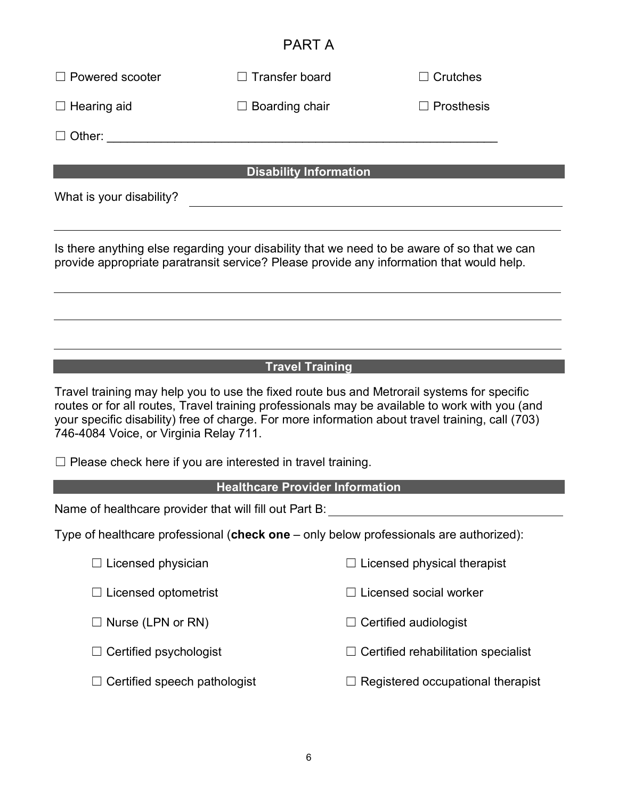| $\Box$ Powered scooter                                                                                                                                                                                                                                                                                                                                               | $\Box$ Transfer board                                                                                                                                                                   | $\Box$ Crutches                                                                        |  |  |  |
|----------------------------------------------------------------------------------------------------------------------------------------------------------------------------------------------------------------------------------------------------------------------------------------------------------------------------------------------------------------------|-----------------------------------------------------------------------------------------------------------------------------------------------------------------------------------------|----------------------------------------------------------------------------------------|--|--|--|
| $\Box$ Hearing aid                                                                                                                                                                                                                                                                                                                                                   | $\Box$ Boarding chair                                                                                                                                                                   | $\sqsupset$ Prosthesis                                                                 |  |  |  |
| Other:                                                                                                                                                                                                                                                                                                                                                               |                                                                                                                                                                                         |                                                                                        |  |  |  |
|                                                                                                                                                                                                                                                                                                                                                                      | <b>Disability Information</b>                                                                                                                                                           |                                                                                        |  |  |  |
| What is your disability?                                                                                                                                                                                                                                                                                                                                             |                                                                                                                                                                                         |                                                                                        |  |  |  |
|                                                                                                                                                                                                                                                                                                                                                                      |                                                                                                                                                                                         |                                                                                        |  |  |  |
|                                                                                                                                                                                                                                                                                                                                                                      | Is there anything else regarding your disability that we need to be aware of so that we can<br>provide appropriate paratransit service? Please provide any information that would help. |                                                                                        |  |  |  |
|                                                                                                                                                                                                                                                                                                                                                                      |                                                                                                                                                                                         |                                                                                        |  |  |  |
|                                                                                                                                                                                                                                                                                                                                                                      |                                                                                                                                                                                         |                                                                                        |  |  |  |
|                                                                                                                                                                                                                                                                                                                                                                      |                                                                                                                                                                                         |                                                                                        |  |  |  |
| <b>Travel Training</b><br>Travel training may help you to use the fixed route bus and Metrorail systems for specific<br>routes or for all routes, Travel training professionals may be available to work with you (and<br>your specific disability) free of charge. For more information about travel training, call (703)<br>746-4084 Voice, or Virginia Relay 711. |                                                                                                                                                                                         |                                                                                        |  |  |  |
| $\Box$ Please check here if you are interested in travel training.                                                                                                                                                                                                                                                                                                   |                                                                                                                                                                                         |                                                                                        |  |  |  |
|                                                                                                                                                                                                                                                                                                                                                                      | <b>Healthcare Provider Information</b>                                                                                                                                                  |                                                                                        |  |  |  |
| Name of healthcare provider that will fill out Part B:                                                                                                                                                                                                                                                                                                               |                                                                                                                                                                                         |                                                                                        |  |  |  |
|                                                                                                                                                                                                                                                                                                                                                                      |                                                                                                                                                                                         | Type of healthcare professional (check one - only below professionals are authorized): |  |  |  |
| $\Box$ Licensed physician                                                                                                                                                                                                                                                                                                                                            |                                                                                                                                                                                         | Licensed physical therapist                                                            |  |  |  |
| $\Box$ Licensed optometrist                                                                                                                                                                                                                                                                                                                                          |                                                                                                                                                                                         | $\Box$ Licensed social worker                                                          |  |  |  |

☐ Nurse (LPN or RN) ☐ Certified audiologist

☐ Certified psychologist ☐ Certified rehabilitation specialist

☐ Certified speech pathologist ☐ Registered occupational therapist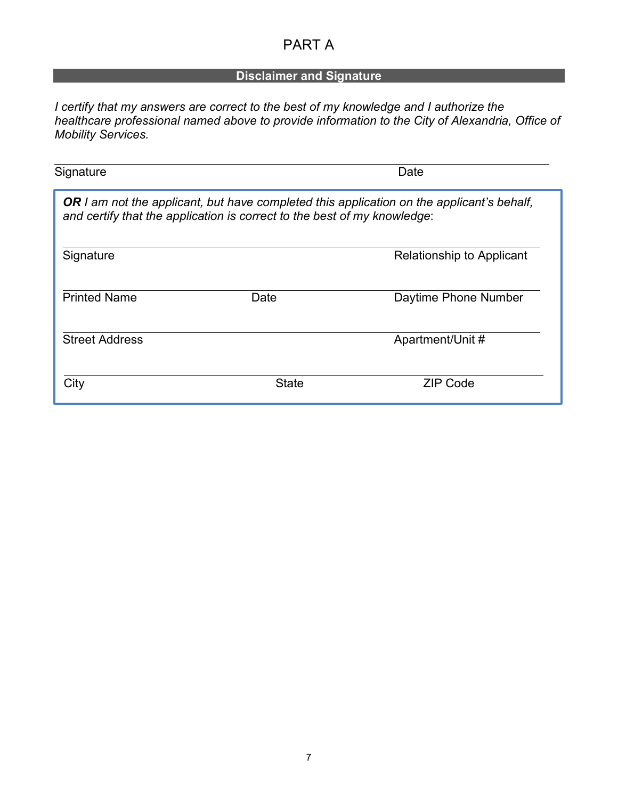### **Disclaimer and Signature**

*I certify that my answers are correct to the best of my knowledge and I authorize the healthcare professional named above to provide information to the City of Alexandria, Office of Mobility Services.* 

| Signature             |                                                                          | Date                                                                                             |
|-----------------------|--------------------------------------------------------------------------|--------------------------------------------------------------------------------------------------|
|                       | and certify that the application is correct to the best of my knowledge: | <b>OR</b> I am not the applicant, but have completed this application on the applicant's behalf, |
| Signature             |                                                                          | <b>Relationship to Applicant</b>                                                                 |
| <b>Printed Name</b>   | Date                                                                     | Daytime Phone Number                                                                             |
| <b>Street Address</b> |                                                                          | Apartment/Unit #                                                                                 |
| City                  | <b>State</b>                                                             | <b>ZIP Code</b>                                                                                  |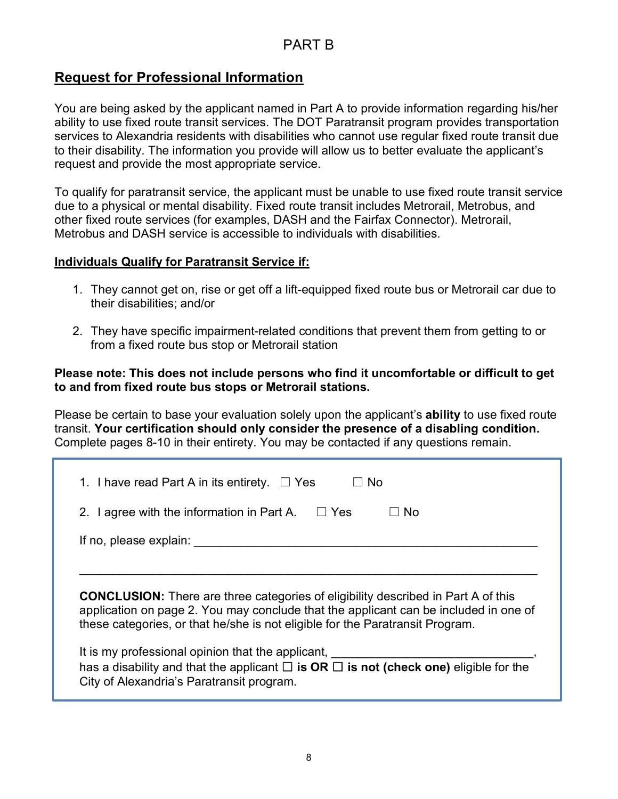### PART B

### **Request for Professional Information**

You are being asked by the applicant named in Part A to provide information regarding his/her ability to use fixed route transit services. The DOT Paratransit program provides transportation services to Alexandria residents with disabilities who cannot use regular fixed route transit due to their disability. The information you provide will allow us to better evaluate the applicant's request and provide the most appropriate service.

To qualify for paratransit service, the applicant must be unable to use fixed route transit service due to a physical or mental disability. Fixed route transit includes Metrorail, Metrobus, and other fixed route services (for examples, DASH and the Fairfax Connector). Metrorail, Metrobus and DASH service is accessible to individuals with disabilities.

#### **Individuals Qualify for Paratransit Service if:**

- 1. They cannot get on, rise or get off a lift-equipped fixed route bus or Metrorail car due to their disabilities; and/or
- 2. They have specific impairment-related conditions that prevent them from getting to or from a fixed route bus stop or Metrorail station

#### **Please note: This does not include persons who find it uncomfortable or difficult to get to and from fixed route bus stops or Metrorail stations.**

Please be certain to base your evaluation solely upon the applicant's **ability** to use fixed route transit. **Your certification should only consider the presence of a disabling condition.** Complete pages 8-10 in their entirety. You may be contacted if any questions remain.

| 1. I have read Part A in its entirety. $\Box$ Yes<br>No.                                                                                                                                                                                                          |
|-------------------------------------------------------------------------------------------------------------------------------------------------------------------------------------------------------------------------------------------------------------------|
| 2. I agree with the information in Part A. $\Box$ Yes<br>No.                                                                                                                                                                                                      |
| If no, please explain:                                                                                                                                                                                                                                            |
|                                                                                                                                                                                                                                                                   |
| <b>CONCLUSION:</b> There are three categories of eligibility described in Part A of this<br>application on page 2. You may conclude that the applicant can be included in one of<br>these categories, or that he/she is not eligible for the Paratransit Program. |
| It is my professional opinion that the applicant,<br>has a disability and that the applicant $\Box$ is OR $\Box$ is not (check one) eligible for the<br>City of Alexandria's Paratransit program.                                                                 |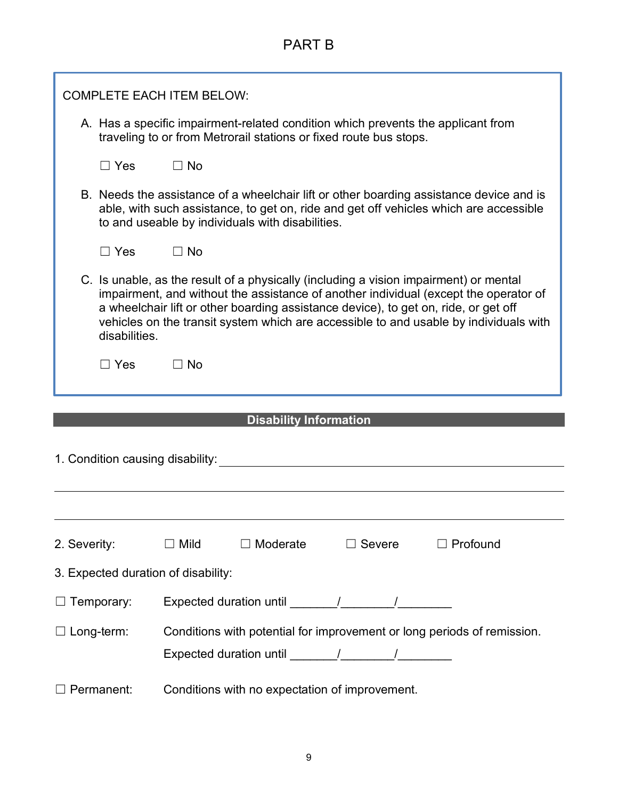# PART B

|                                     | <b>COMPLETE EACH ITEM BELOW:</b>                                                                                                                                                                                                                                                                                                                                               |  |  |  |
|-------------------------------------|--------------------------------------------------------------------------------------------------------------------------------------------------------------------------------------------------------------------------------------------------------------------------------------------------------------------------------------------------------------------------------|--|--|--|
|                                     | A. Has a specific impairment-related condition which prevents the applicant from<br>traveling to or from Metrorail stations or fixed route bus stops.                                                                                                                                                                                                                          |  |  |  |
| $\square$ Yes                       | $\Box$ No                                                                                                                                                                                                                                                                                                                                                                      |  |  |  |
|                                     | B. Needs the assistance of a wheelchair lift or other boarding assistance device and is<br>able, with such assistance, to get on, ride and get off vehicles which are accessible<br>to and useable by individuals with disabilities.                                                                                                                                           |  |  |  |
| $\square$ Yes                       | $\Box$ No                                                                                                                                                                                                                                                                                                                                                                      |  |  |  |
|                                     | C. Is unable, as the result of a physically (including a vision impairment) or mental<br>impairment, and without the assistance of another individual (except the operator of<br>a wheelchair lift or other boarding assistance device), to get on, ride, or get off<br>vehicles on the transit system which are accessible to and usable by individuals with<br>disabilities. |  |  |  |
| $\Box$ Yes                          | $\Box$ No                                                                                                                                                                                                                                                                                                                                                                      |  |  |  |
|                                     | <b>Disability Information</b>                                                                                                                                                                                                                                                                                                                                                  |  |  |  |
| 1. Condition causing disability:    |                                                                                                                                                                                                                                                                                                                                                                                |  |  |  |
| 2. Severity:                        | Moderate<br>$\Box$ Profound<br>$\Box$ Mild<br>$\Box$ Severe                                                                                                                                                                                                                                                                                                                    |  |  |  |
| 3. Expected duration of disability: |                                                                                                                                                                                                                                                                                                                                                                                |  |  |  |
| $\Box$ Temporary:                   |                                                                                                                                                                                                                                                                                                                                                                                |  |  |  |
| $\Box$ Long-term:                   | Conditions with potential for improvement or long periods of remission.                                                                                                                                                                                                                                                                                                        |  |  |  |
| Permanent:                          | Conditions with no expectation of improvement.                                                                                                                                                                                                                                                                                                                                 |  |  |  |